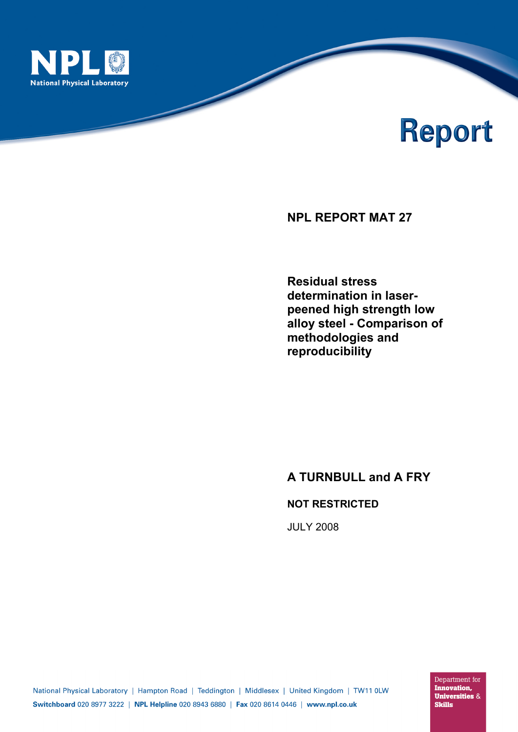

# Report

**NPL REPORT MAT 27** 

**Residual stress determination in laserpeened high strength low alloy steel - Comparison of methodologies and reproducibility**

# **A TURNBULL and A FRY**

# **NOT RESTRICTED**

JULY 2008

Department for **Innovation, Universities & Skills**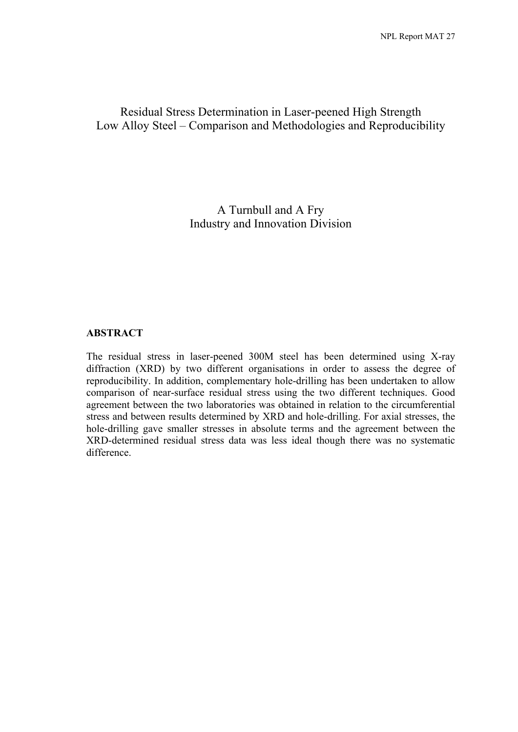# Residual Stress Determination in Laser-peened High Strength Low Alloy Steel – Comparison and Methodologies and Reproducibility

A Turnbull and A Fry Industry and Innovation Division

#### **ABSTRACT**

The residual stress in laser-peened 300M steel has been determined using X-ray diffraction (XRD) by two different organisations in order to assess the degree of reproducibility. In addition, complementary hole-drilling has been undertaken to allow comparison of near-surface residual stress using the two different techniques. Good agreement between the two laboratories was obtained in relation to the circumferential stress and between results determined by XRD and hole-drilling. For axial stresses, the hole-drilling gave smaller stresses in absolute terms and the agreement between the XRD-determined residual stress data was less ideal though there was no systematic difference.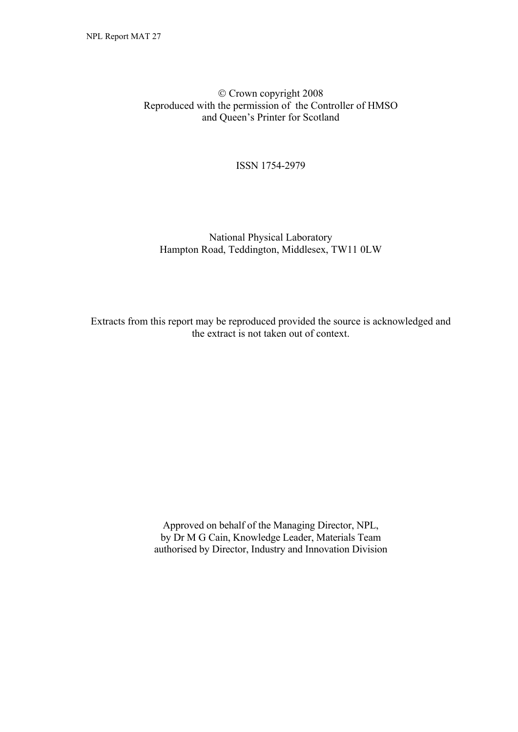© Crown copyright 2008 Reproduced with the permission of the Controller of HMSO and Queen's Printer for Scotland

ISSN 1754-2979

#### National Physical Laboratory Hampton Road, Teddington, Middlesex, TW11 0LW

Extracts from this report may be reproduced provided the source is acknowledged and the extract is not taken out of context.

> Approved on behalf of the Managing Director, NPL, by Dr M G Cain, Knowledge Leader, Materials Team authorised by Director, Industry and Innovation Division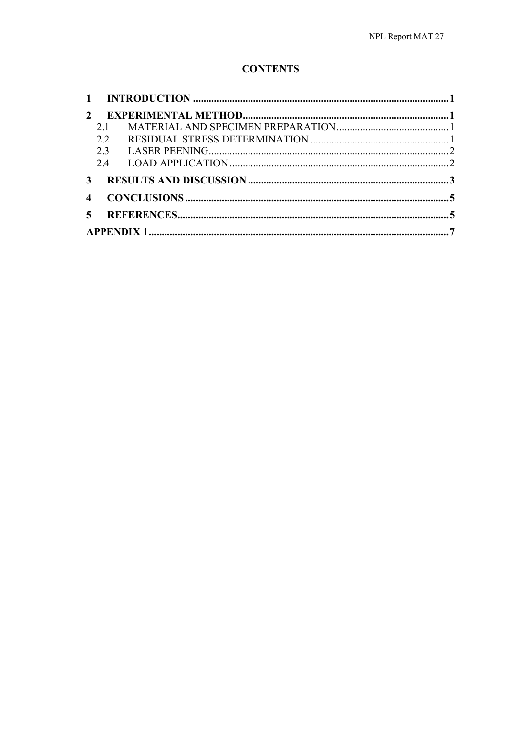# **CONTENTS**

| $\mathcal{L}$  |     |  |
|----------------|-----|--|
|                | 2.1 |  |
|                | 2.2 |  |
|                | 2.3 |  |
|                | 2.4 |  |
| 3              |     |  |
| $\overline{4}$ |     |  |
| $\sim$         |     |  |
|                |     |  |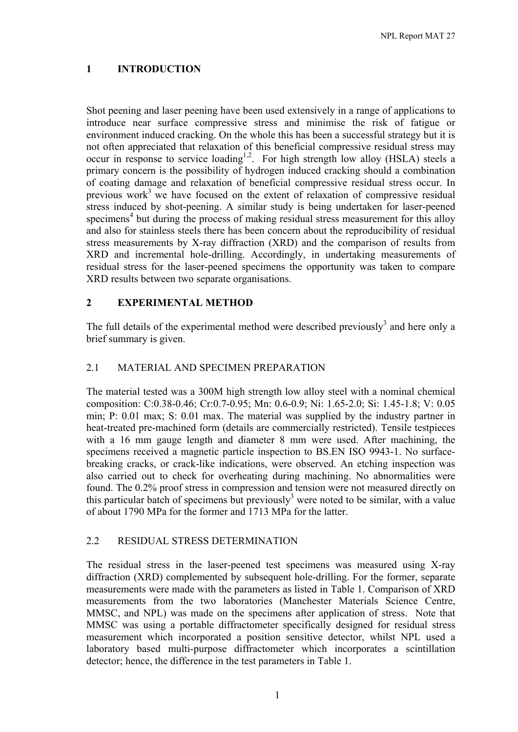## **1 INTRODUCTION**

Shot peening and laser peening have been used extensively in a range of applications to introduce near surface compressive stress and minimise the risk of fatigue or environment induced cracking. On the whole this has been a successful strategy but it is not often appreciated that relaxation of this beneficial compressive residual stress may occur in response to service loading<sup>1,2</sup>. For high strength low alloy (HSLA) steels a primary concern is the possibility of hydrogen induced cracking should a combination of coating damage and relaxation of beneficial compressive residual stress occur. In previous work<sup>3</sup> we have focused on the extent of relaxation of compressive residual stress induced by shot-peening. A similar study is being undertaken for laser-peened specimens<sup>4</sup> but during the process of making residual stress measurement for this alloy and also for stainless steels there has been concern about the reproducibility of residual stress measurements by X-ray diffraction (XRD) and the comparison of results from XRD and incremental hole-drilling. Accordingly, in undertaking measurements of residual stress for the laser-peened specimens the opportunity was taken to compare XRD results between two separate organisations.

#### **2 EXPERIMENTAL METHOD**

The full details of the experimental method were described previously<sup>3</sup> and here only a brief summary is given.

#### 2.1 MATERIAL AND SPECIMEN PREPARATION

The material tested was a 300M high strength low alloy steel with a nominal chemical composition: C:0.38-0.46; Cr:0.7-0.95; Mn: 0.6-0.9; Ni: 1.65-2.0; Si: 1.45-1.8; V: 0.05 min; P: 0.01 max; S: 0.01 max. The material was supplied by the industry partner in heat-treated pre-machined form (details are commercially restricted). Tensile testpieces with a 16 mm gauge length and diameter 8 mm were used. After machining, the specimens received a magnetic particle inspection to BS.EN ISO 9943-1. No surfacebreaking cracks, or crack-like indications, were observed. An etching inspection was also carried out to check for overheating during machining. No abnormalities were found. The 0.2% proof stress in compression and tension were not measured directly on this particular batch of specimens but previously<sup>3</sup> were noted to be similar, with a value of about 1790 MPa for the former and 1713 MPa for the latter.

#### 2.2 RESIDUAL STRESS DETERMINATION

The residual stress in the laser-peened test specimens was measured using X-ray diffraction (XRD) complemented by subsequent hole-drilling. For the former, separate measurements were made with the parameters as listed in Table 1. Comparison of XRD measurements from the two laboratories (Manchester Materials Science Centre, MMSC, and NPL) was made on the specimens after application of stress. Note that MMSC was using a portable diffractometer specifically designed for residual stress measurement which incorporated a position sensitive detector, whilst NPL used a laboratory based multi-purpose diffractometer which incorporates a scintillation detector; hence, the difference in the test parameters in Table 1.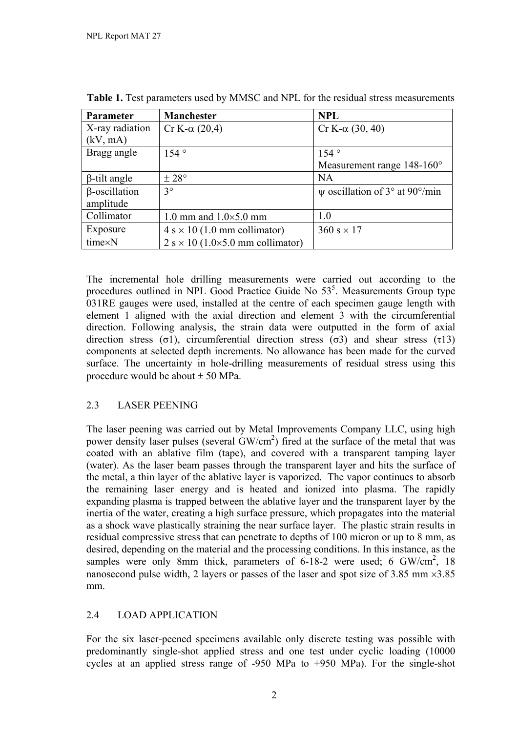| Parameter            | <b>Manchester</b>                       | <b>NPL</b>                          |  |
|----------------------|-----------------------------------------|-------------------------------------|--|
| X-ray radiation      | Cr K-α $(20,4)$                         | $Cr K-\alpha$ (30, 40)              |  |
| (kV, mA)             |                                         |                                     |  |
| Bragg angle          | $154^\circ$                             | $154^\circ$                         |  |
|                      |                                         | Measurement range $148-160^{\circ}$ |  |
| $\beta$ -tilt angle  | $\pm 28^{\circ}$                        | <b>NA</b>                           |  |
| $\beta$ -oscillation | $3^{\circ}$                             | $\psi$ oscillation of 3° at 90°/min |  |
| amplitude            |                                         |                                     |  |
| Collimator           | 1.0 mm and $1.0\times5.0$ mm            | 1.0                                 |  |
| Exposure             | $4 s \times 10$ (1.0 mm collimator)     | $360 s \times 17$                   |  |
| time×N               | $2 s \times 10$ (1.0×5.0 mm collimator) |                                     |  |

**Table 1.** Test parameters used by MMSC and NPL for the residual stress measurements

The incremental hole drilling measurements were carried out according to the procedures outlined in NPL Good Practice Guide No  $53<sup>5</sup>$ . Measurements Group type 031RE gauges were used, installed at the centre of each specimen gauge length with element 1 aligned with the axial direction and element 3 with the circumferential direction. Following analysis, the strain data were outputted in the form of axial direction stress (σ1), circumferential direction stress (σ3) and shear stress (τ13) components at selected depth increments. No allowance has been made for the curved surface. The uncertainty in hole-drilling measurements of residual stress using this procedure would be about  $\pm$  50 MPa.

# 2.3 LASER PEENING

The laser peening was carried out by Metal Improvements Company LLC, using high power density laser pulses (several GW/cm<sup>2</sup>) fired at the surface of the metal that was coated with an ablative film (tape), and covered with a transparent tamping layer (water). As the laser beam passes through the transparent layer and hits the surface of the metal, a thin layer of the ablative layer is vaporized. The vapor continues to absorb the remaining laser energy and is heated and ionized into plasma. The rapidly expanding plasma is trapped between the ablative layer and the transparent layer by the inertia of the water, creating a high surface pressure, which propagates into the material as a shock wave plastically straining the near surface layer. The plastic strain results in residual compressive stress that can penetrate to depths of 100 micron or up to 8 mm, as desired, depending on the material and the processing conditions. In this instance, as the samples were only 8mm thick, parameters of  $6-18-2$  were used; 6 GW/cm<sup>2</sup>, 18 nanosecond pulse width, 2 layers or passes of the laser and spot size of 3.85 mm  $\times$ 3.85 mm.

# 2.4 LOAD APPLICATION

For the six laser-peened specimens available only discrete testing was possible with predominantly single-shot applied stress and one test under cyclic loading (10000 cycles at an applied stress range of -950 MPa to +950 MPa). For the single-shot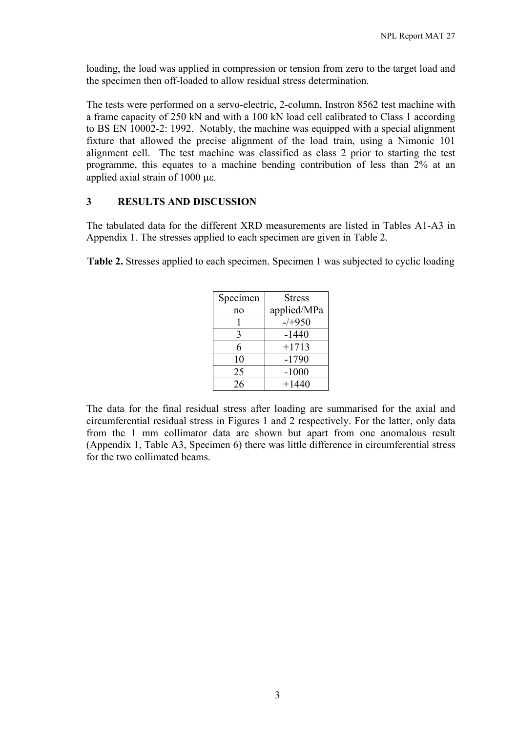loading, the load was applied in compression or tension from zero to the target load and the specimen then off-loaded to allow residual stress determination.

The tests were performed on a servo-electric, 2-column, Instron 8562 test machine with a frame capacity of 250 kN and with a 100 kN load cell calibrated to Class 1 according to BS EN 10002-2: 1992. Notably, the machine was equipped with a special alignment fixture that allowed the precise alignment of the load train, using a Nimonic 101 alignment cell. The test machine was classified as class 2 prior to starting the test programme, this equates to a machine bending contribution of less than 2% at an applied axial strain of 1000 με.

#### **3 RESULTS AND DISCUSSION**

The tabulated data for the different XRD measurements are listed in Tables A1-A3 in Appendix 1. The stresses applied to each specimen are given in Table 2.

**Table 2.** Stresses applied to each specimen. Specimen 1 was subjected to cyclic loading

| Specimen | <b>Stress</b> |
|----------|---------------|
| no       | applied/MPa   |
|          | $-/-950$      |
| 3        | $-1440$       |
| 6        | $+1713$       |
| 10       | $-1790$       |
| 25       | $-1000$       |
| 26       | $+1440$       |

The data for the final residual stress after loading are summarised for the axial and circumferential residual stress in Figures 1 and 2 respectively. For the latter, only data from the 1 mm collimator data are shown but apart from one anomalous result (Appendix 1, Table A3, Specimen 6) there was little difference in circumferential stress for the two collimated beams.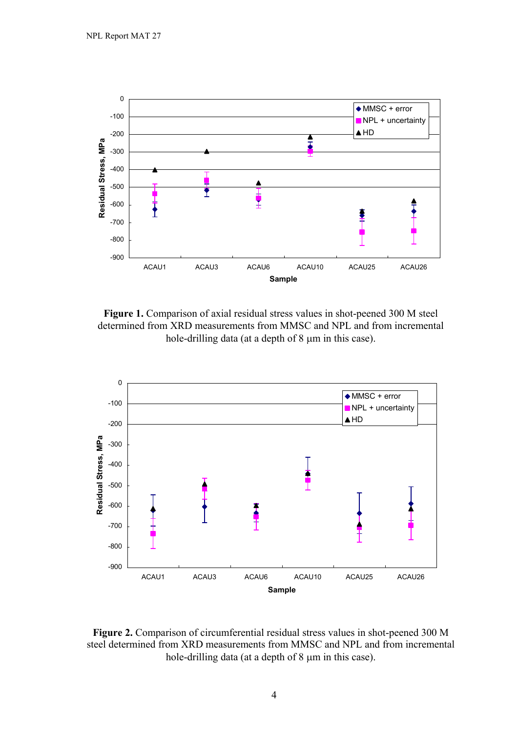

**Figure 1.** Comparison of axial residual stress values in shot-peened 300 M steel determined from XRD measurements from MMSC and NPL and from incremental hole-drilling data (at a depth of 8 μm in this case).



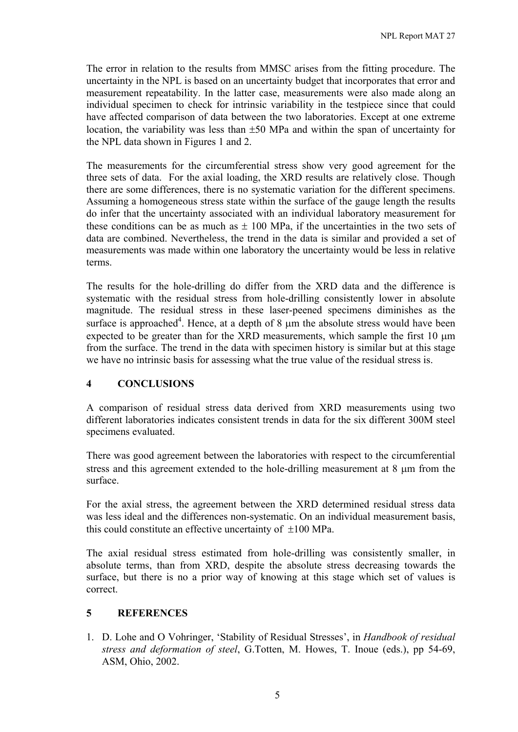The error in relation to the results from MMSC arises from the fitting procedure. The uncertainty in the NPL is based on an uncertainty budget that incorporates that error and measurement repeatability. In the latter case, measurements were also made along an individual specimen to check for intrinsic variability in the testpiece since that could have affected comparison of data between the two laboratories. Except at one extreme location, the variability was less than  $\pm 50$  MPa and within the span of uncertainty for the NPL data shown in Figures 1 and 2.

The measurements for the circumferential stress show very good agreement for the three sets of data. For the axial loading, the XRD results are relatively close. Though there are some differences, there is no systematic variation for the different specimens. Assuming a homogeneous stress state within the surface of the gauge length the results do infer that the uncertainty associated with an individual laboratory measurement for these conditions can be as much as  $\pm$  100 MPa, if the uncertainties in the two sets of data are combined. Nevertheless, the trend in the data is similar and provided a set of measurements was made within one laboratory the uncertainty would be less in relative terms.

The results for the hole-drilling do differ from the XRD data and the difference is systematic with the residual stress from hole-drilling consistently lower in absolute magnitude. The residual stress in these laser-peened specimens diminishes as the surface is approached<sup>4</sup>. Hence, at a depth of 8  $\mu$ m the absolute stress would have been expected to be greater than for the XRD measurements, which sample the first  $10 \mu m$ from the surface. The trend in the data with specimen history is similar but at this stage we have no intrinsic basis for assessing what the true value of the residual stress is.

#### **4 CONCLUSIONS**

A comparison of residual stress data derived from XRD measurements using two different laboratories indicates consistent trends in data for the six different 300M steel specimens evaluated.

There was good agreement between the laboratories with respect to the circumferential stress and this agreement extended to the hole-drilling measurement at 8 μm from the surface.

For the axial stress, the agreement between the XRD determined residual stress data was less ideal and the differences non-systematic. On an individual measurement basis, this could constitute an effective uncertainty of  $+100$  MPa.

The axial residual stress estimated from hole-drilling was consistently smaller, in absolute terms, than from XRD, despite the absolute stress decreasing towards the surface, but there is no a prior way of knowing at this stage which set of values is correct.

#### **5 REFERENCES**

1. D. Lohe and O Vohringer, 'Stability of Residual Stresses', in *Handbook of residual stress and deformation of steel*, G.Totten, M. Howes, T. Inoue (eds.), pp 54-69, ASM, Ohio, 2002.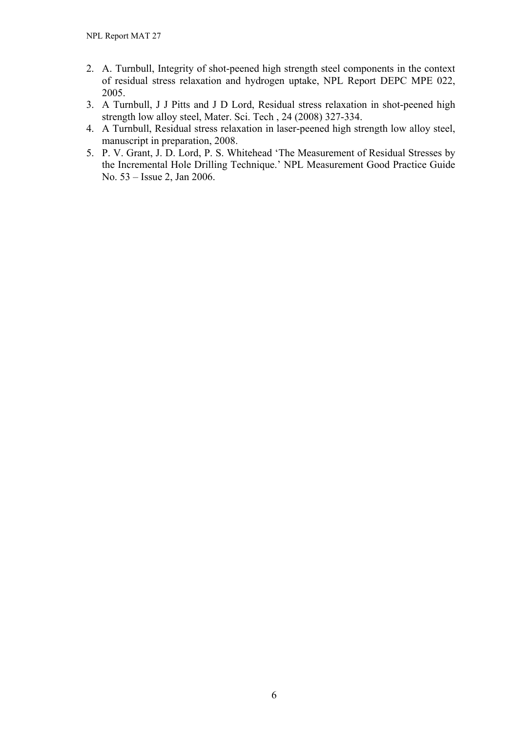- 2. A. Turnbull, Integrity of shot-peened high strength steel components in the context of residual stress relaxation and hydrogen uptake, NPL Report DEPC MPE 022, 2005.
- 3. A Turnbull, J J Pitts and J D Lord, Residual stress relaxation in shot-peened high strength low alloy steel, Mater. Sci. Tech , 24 (2008) 327-334.
- 4. A Turnbull, Residual stress relaxation in laser-peened high strength low alloy steel, manuscript in preparation, 2008.
- 5. P. V. Grant, J. D. Lord, P. S. Whitehead 'The Measurement of Residual Stresses by the Incremental Hole Drilling Technique.' NPL Measurement Good Practice Guide No. 53 – Issue 2, Jan 2006.